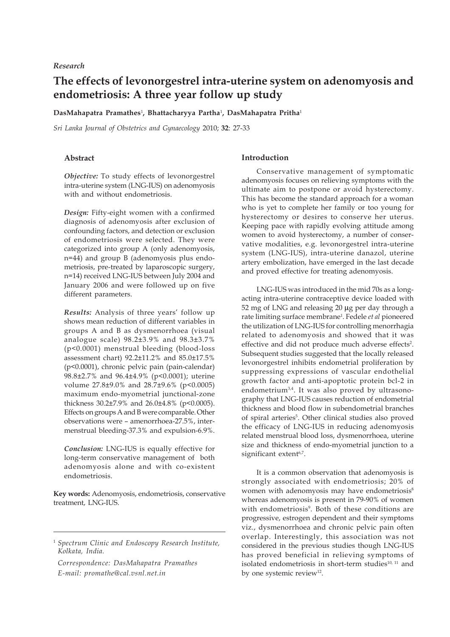## *Research*

# **The effects of levonorgestrel intra-uterine system on adenomyosis and endometriosis: A three year follow up study**

#### **DasMahapatra Pramathes**<sup>1</sup> **, Bhattacharyya Partha**<sup>1</sup> **, DasMahapatra Pritha**<sup>1</sup>

*Sri Lanka Journal of Obstetrics and Gynaecology* 2010; **32**: 27-33

# **Abstract**

*Objective:* To study effects of levonorgestrel intra-uterine system (LNG-IUS) on adenomyosis with and without endometriosis.

*Design:* Fifty-eight women with a confirmed diagnosis of adenomyosis after exclusion of confounding factors, and detection or exclusion of endometriosis were selected. They were categorized into group A (only adenomyosis, n=44) and group B (adenomyosis plus endometriosis, pre-treated by laparoscopic surgery, n=14) received LNG-IUS between July 2004 and January 2006 and were followed up on five different parameters.

*Results:* Analysis of three years' follow up shows mean reduction of different variables in groups A and B as dysmenorrhoea (visual analogue scale) 98.2±3.9% and 98.3±3.7% (p<0.0001) menstrual bleeding (blood-loss assessment chart) 92.2±11.2% and 85.0±17.5% (p<0.0001), chronic pelvic pain (pain-calendar) 98.8±2.7% and 96.4±4.9% (p<0.0001); uterine volume 27.8±9.0% and 28.7±9.6% (p<0.0005) maximum endo-myometrial junctional-zone thickness 30.2±7.9% and 26.0±4.8% (p<0.0005). Effects on groups A and B were comparable. Other observations were – amenorrhoea-27.5%, intermenstrual bleeding-37.3% and expulsion-6.9%.

*Conclusion:* LNG-IUS is equally effective for long-term conservative management of both adenomyosis alone and with co-existent endometriosis.

**Key words:** Adenomyosis, endometriosis, conservative treatment, LNG-IUS.

#### <sup>1</sup> *Spectrum Clinic and Endoscopy Research Institute, Kolkata, India.*

*Correspondence: DasMahapatra Pramathes E-mail: promathe@cal.vsnl.net.in*

# **Introduction**

Conservative management of symptomatic adenomyosis focuses on relieving symptoms with the ultimate aim to postpone or avoid hysterectomy. This has become the standard approach for a woman who is yet to complete her family or too young for hysterectomy or desires to conserve her uterus. Keeping pace with rapidly evolving attitude among women to avoid hysterectomy, a number of conservative modalities, e.g. levonorgestrel intra-uterine system (LNG-IUS), intra-uterine danazol, uterine artery embolization, have emerged in the last decade and proved effective for treating adenomyosis.

LNG-IUS was introduced in the mid 70s as a longacting intra-uterine contraceptive device loaded with 52 mg of LNG and releasing 20 μg per day through a rate limiting surface membrane1 . Fedele *et al* pioneered the utilization of LNG-IUS for controlling menorrhagia related to adenomyosis and showed that it was effective and did not produce much adverse effects<sup>2</sup>. Subsequent studies suggested that the locally released levonorgestrel inhibits endometrial proliferation by suppressing expressions of vascular endothelial growth factor and anti-apoptotic protein bcl-2 in endometrium3,4. It was also proved by ultrasonography that LNG-IUS causes reduction of endometrial thickness and blood flow in subendometrial branches of spiral arteries<sup>5</sup>. Other clinical studies also proved the efficacy of LNG-IUS in reducing adenomyosis related menstrual blood loss, dysmenorrhoea, uterine size and thickness of endo-myometrial junction to a significant extent<sup>6,7</sup>.

It is a common observation that adenomyosis is strongly associated with endometriosis; 20% of women with adenomyosis may have endometriosis<sup>8</sup> whereas adenomyosis is present in 79-90% of women with endometriosis<sup>9</sup>. Both of these conditions are progressive, estrogen dependent and their symptoms viz., dysmenorrhoea and chronic pelvic pain often overlap. Interestingly, this association was not considered in the previous studies though LNG-IUS has proved beneficial in relieving symptoms of isolated endometriosis in short-term studies<sup>10, 11</sup> and by one systemic review<sup>12</sup>.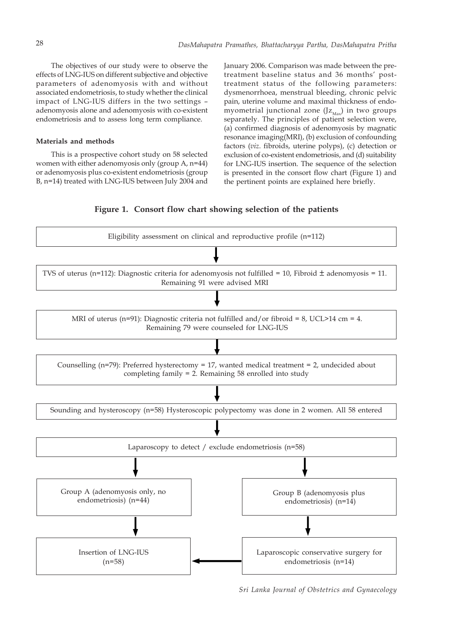The objectives of our study were to observe the effects of LNG-IUS on different subjective and objective parameters of adenomyosis with and without associated endometriosis, to study whether the clinical impact of LNG-IUS differs in the two settings – adenomyosis alone and adenomyosis with co-existent endometriosis and to assess long term compliance.

#### **Materials and methods**

This is a prospective cohort study on 58 selected women with either adenomyosis only (group A, n=44) or adenomyosis plus co-existent endometriosis (group B, n=14) treated with LNG-IUS between July 2004 and January 2006. Comparison was made between the pretreatment baseline status and 36 months' posttreatment status of the following parameters: dysmenorrhoea, menstrual bleeding, chronic pelvic pain, uterine volume and maximal thickness of endomyometrial junctional zone  $(Jz_{\text{Max}})$  in two groups separately. The principles of patient selection were, (a) confirmed diagnosis of adenomyosis by magnatic resonance imaging(MRI), (b) exclusion of confounding factors (*viz*. fibroids, uterine polyps), (c) detection or exclusion of co-existent endometriosis, and (d) suitability for LNG-IUS insertion. The sequence of the selection is presented in the consort flow chart (Figure 1) and the pertinent points are explained here briefly.

#### **Figure 1. Consort flow chart showing selection of the patients**



*Sri Lanka Journal of Obstetrics and Gynaecology*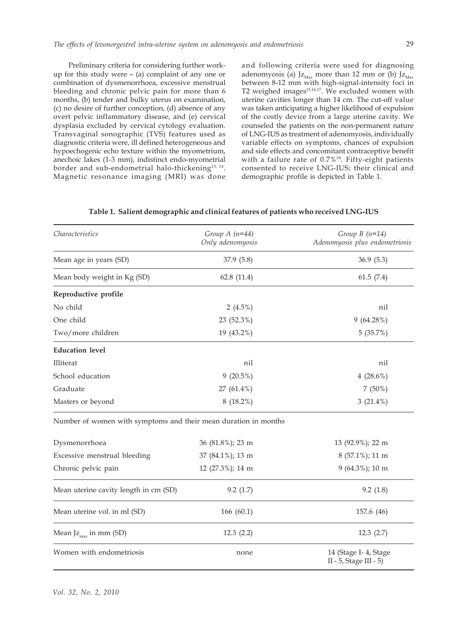Preliminary criteria for considering further workup for this study were – (a) complaint of any one or combination of dysmenorrhoea, excessive menstrual bleeding and chronic pelvic pain for more than 6 months, (b) tender and bulky uterus on examination, (c) no desire of further conception, (d) absence of any overt pelvic inflammatory disease, and (e) cervical dysplasia excluded by cervical cytology evaluation. Transvaginal sonographic (TVS) features used as diagnostic criteria were, ill defined heterogeneous and hypoechogenic echo texture within the myometrium, anechoic lakes (1-3 mm), indistinct endo-myometrial border and sub-endometrial halo-thickening<sup>13, 14</sup>. Magnetic resonance imaging (MRI) was done and following criteria were used for diagnosing adenomyosis (a) J $z_{\text{Max}}$  more than 12 mm or (b) J $z_{\text{Max}}$ between 8-12 mm with high-signal-intensity foci in T2 weighed images<sup>15,16,17</sup>. We excluded women with uterine cavities longer than 14 cm. The cut-off value was taken anticipating a higher likelihood of expulsion of the costly device from a large uterine cavity. We counseled the patients on the non-permanent nature of LNG-IUS as treatment of adenomyosis, individually variable effects on symptoms, chances of expulsion and side effects and concomitant contraceptive benefit with a failure rate of 0.7%18. Fifty-eight patients consented to receive LNG-IUS; their clinical and demographic profile is depicted in Table 1.

| Group $A(n=44)$<br>Only adenomyosis                             | Group $B(n=14)$<br>Adenomyosis plus endometriosis |
|-----------------------------------------------------------------|---------------------------------------------------|
| 37.9(5.8)                                                       | 36.9(5.3)                                         |
| 62.8(11.4)                                                      | 61.5(7.4)                                         |
|                                                                 |                                                   |
| 2 $(4.5\%)$                                                     | nil                                               |
| 23 (52.3%)                                                      | $9(64.28\%)$                                      |
| 19 (43.2%)                                                      | 5(35.7%)                                          |
|                                                                 |                                                   |
| nil                                                             | nil                                               |
| $9(20.5\%)$                                                     | 4 $(28.6\%)$                                      |
| 27 (61.4%)                                                      | $7(50\%)$                                         |
| $8(18.2\%)$                                                     | $3(21.4\%)$                                       |
| Number of women with symptoms and their mean duration in months |                                                   |
| 36 (81.8%); 23 m                                                | 13 (92.9%); 22 m                                  |
| 37 (84.1%); 13 m                                                | 8 (57.1%); 11 m                                   |
| 12 (27.3%); 14 m                                                | 9 (64.3%); 10 m                                   |
| 9.2(1.7)                                                        | 9.2(1.8)                                          |
|                                                                 |                                                   |

**Table 1. Salient demographic and clinical features of patients who received LNG-IUS**

| Dysmenorrhoea                         | 36 (81.8%); 23 m | 13 (92.9%); 22 m                               |
|---------------------------------------|------------------|------------------------------------------------|
| Excessive menstrual bleeding          | 37 (84.1%); 13 m | 8 (57.1%); 11 m                                |
| Chronic pelvic pain                   | 12 (27.3%); 14 m | $9(64.3\%)$ ; 10 m                             |
| Mean uterine cavity length in cm (SD) | 9.2(1.7)         | 9.2(1.8)                                       |
| Mean uterine vol. in ml (SD)          | 166(60.1)        | 157.6 (46)                                     |
| Mean J $z_{max}$ in mm (SD)           | 12.3(2.2)        | 12.3(2.7)                                      |
| Women with endometriosis              | none             | 14 (Stage I-4, Stage<br>II - 5, Stage III - 5) |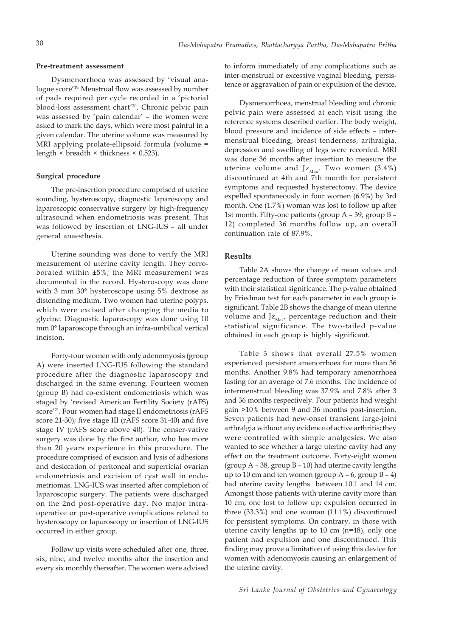#### **Pre-treatment assessment**

Dysmenorrhoea was assessed by 'visual analogue score'19. Menstrual flow was assessed by number of pads required per cycle recorded in a 'pictorial blood-loss assessment chart'20. Chronic pelvic pain was assessed by 'pain calendar' – the women were asked to mark the days, which were most painful in a given calendar. The uterine volume was measured by MRI applying prolate-ellipsoid formula (volume = length  $\times$  breadth  $\times$  thickness  $\times$  0.523).

#### **Surgical procedure**

The pre-insertion procedure comprised of uterine sounding, hysteroscopy, diagnostic laparoscopy and laparoscopic conservative surgery by high-frequency ultrasound when endometriosis was present. This was followed by insertion of LNG-IUS – all under general anaesthesia.

Uterine sounding was done to verify the MRI measurement of uterine cavity length. They corroborated within ±5%; the MRI measurement was documented in the record. Hysteroscopy was done with 3 mm 30° hysteroscope using 5% dextrose as distending medium. Two women had uterine polyps, which were excised after changing the media to glycine. Diagnostic laparoscopy was done using 10 mm 0° laparoscope through an infra-umbilical vertical incision.

Forty-four women with only adenomyosis (group A) were inserted LNG-IUS following the standard procedure after the diagnostic laparoscopy and discharged in the same evening. Fourteen women (group B) had co-existent endometriosis which was staged by 'revised American Fertility Society (rAFS) score'<sup>21</sup>. Four women had stage II endometriosis (rAFS score 21-30); five stage III (rAFS score 31-40) and five stage IV (rAFS score above 40). The conser-vative surgery was done by the first author, who has more than 20 years experience in this procedure. The procedure comprised of excision and lysis of adhesions and desiccation of peritoneal and superficial ovarian endometriosis and excision of cyst wall in endometriomas. LNG-IUS was inserted after completion of laparoscopic surgery. The patients were discharged on the 2nd post-operative day. No major intraoperative or post-operative complications related to hysteroscopy or laparoscopy or insertion of LNG-IUS occurred in either group.

Follow up visits were scheduled after one, three, six, nine, and twelve months after the insertion and every six monthly thereafter. The women were advised

to inform immediately of any complications such as inter-menstrual or excessive vaginal bleeding, persistence or aggravation of pain or expulsion of the device.

Dysmenorrhoea, menstrual bleeding and chronic pelvic pain were assessed at each visit using the reference systems described earlier. The body weight, blood pressure and incidence of side effects – intermenstrual bleeding, breast tenderness, arthralgia, depression and swelling of legs were recorded. MRI was done 36 months after insertion to measure the uterine volume and  $Jz<sub>Max</sub>$ . Two women (3.4%) discontinued at 4th and 7th month for persistent symptoms and requested hysterectomy. The device expelled spontaneously in four women (6.9%) by 3rd month. One (1.7%) woman was lost to follow up after 1st month. Fifty-one patients (group A – 39, group B – 12) completed 36 months follow up, an overall continuation rate of 87.9%.

## **Results**

Table 2A shows the change of mean values and percentage reduction of three symptom parameters with their statistical significance. The p-value obtained by Friedman test for each parameter in each group is significant. Table 2B shows the change of mean uterine volume and  $Jz<sub>Max</sub>$ , percentage reduction and their statistical significance. The two-tailed p-value obtained in each group is highly significant.

Table 3 shows that overall 27.5% women experienced persistent amenorrhoea for more than 36 months. Another 9.8% had temporary amenorrhoea lasting for an average of 7.6 months. The incidence of intermenstrual bleeding was 37.9% and 7.8% after 3 and 36 months respectively. Four patients had weight gain >10% between 9 and 36 months post-insertion. Seven patients had new-onset transient large-joint arthralgia without any evidence of active arthritis; they were controlled with simple analgesics. We also wanted to see whether a large uterine cavity had any effect on the treatment outcome. Forty-eight women (group A – 38, group B – 10) had uterine cavity lengths up to 10 cm and ten women (group  $A - 6$ , group  $B - 4$ ) had uterine cavity lengths between 10.1 and 14 cm. Amongst those patients with uterine cavity more than 10 cm, one lost to follow up; expulsion occurred in three (33.3%) and one woman (11.1%) discontinued for persistent symptoms. On contrary, in those with uterine cavity lengths up to 10 cm (n=48), only one patient had expulsion and one discontinued. This finding may prove a limitation of using this device for women with adenomyosis causing an enlargement of the uterine cavity.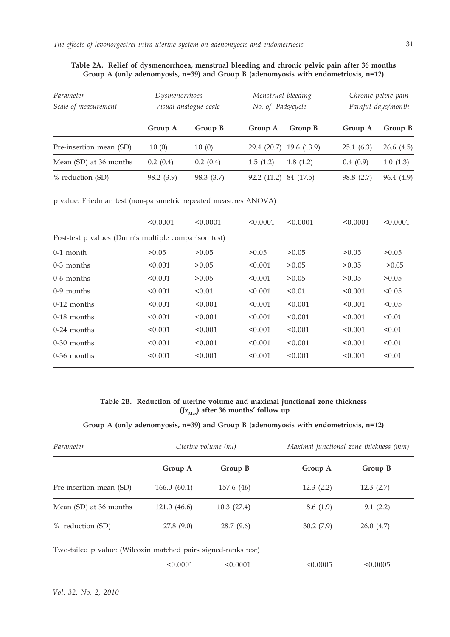| Parameter<br>Scale of measurement | Dysmenorrhoea<br>Visual analogue scale |            | Menstrual bleeding<br>No. of Pads/cycle |             | Chronic pelvic pain<br>Painful days/month |            |
|-----------------------------------|----------------------------------------|------------|-----------------------------------------|-------------|-------------------------------------------|------------|
|                                   | Group A                                | Group B    | Group A                                 | Group B     | Group A                                   | Group B    |
| Pre-insertion mean (SD)           | 10(0)                                  | 10(0)      | 29.4 (20.7)                             | 19.6 (13.9) | 25.1(6.3)                                 | 26.6(4.5)  |
| Mean (SD) at 36 months            | 0.2(0.4)                               | 0.2(0.4)   | 1.5(1.2)                                | 1.8(1.2)    | 0.4(0.9)                                  | 1.0(1.3)   |
| % reduction (SD)                  | 98.2 (3.9)                             | 98.3 (3.7) | 92.2(11.2)                              | 84 (17.5)   | 98.8 (2.7)                                | 96.4 (4.9) |

| Table 2A. Relief of dysmenorrhoea, menstrual bleeding and chronic pelvic pain after 36 months |  |                                                                                           |  |  |  |  |  |
|-----------------------------------------------------------------------------------------------|--|-------------------------------------------------------------------------------------------|--|--|--|--|--|
|                                                                                               |  | Group A (only adenomyosis, $n=39$ ) and Group B (adenomyosis with endometriosis, $n=12$ ) |  |  |  |  |  |

p value: Friedman test (non-parametric repeated measures ANOVA)

|                                                      | < 0.0001 | < 0.0001 | < 0.0001 | < 0.0001 | < 0.0001 | < 0.0001 |  |  |  |  |
|------------------------------------------------------|----------|----------|----------|----------|----------|----------|--|--|--|--|
| Post-test p values (Dunn's multiple comparison test) |          |          |          |          |          |          |  |  |  |  |
| $0-1$ month                                          | > 0.05   | > 0.05   | > 0.05   | > 0.05   | > 0.05   | > 0.05   |  |  |  |  |
| $0-3$ months                                         | < 0.001  | > 0.05   | < 0.001  | > 0.05   | > 0.05   | >0.05    |  |  |  |  |
| $0-6$ months                                         | < 0.001  | > 0.05   | < 0.001  | > 0.05   | > 0.05   | > 0.05   |  |  |  |  |
| $0-9$ months                                         | < 0.001  | < 0.01   | < 0.001  | < 0.01   | < 0.001  | < 0.05   |  |  |  |  |
| $0-12$ months                                        | < 0.001  | < 0.001  | < 0.001  | < 0.001  | < 0.001  | < 0.05   |  |  |  |  |
| $0-18$ months                                        | < 0.001  | < 0.001  | < 0.001  | < 0.001  | < 0.001  | < 0.01   |  |  |  |  |
| $0-24$ months                                        | < 0.001  | < 0.001  | < 0.001  | < 0.001  | < 0.001  | < 0.01   |  |  |  |  |
| $0-30$ months                                        | < 0.001  | < 0.001  | < 0.001  | < 0.001  | < 0.001  | < 0.01   |  |  |  |  |
| $0-36$ months                                        | < 0.001  | < 0.001  | < 0.001  | < 0.001  | < 0.001  | < 0.01   |  |  |  |  |
|                                                      |          |          |          |          |          |          |  |  |  |  |

# **Table 2B. Reduction of uterine volume and maximal junctional zone thickness**  $(Jz<sub>Max</sub>)$  after 36 months' follow up

# **Group A (only adenomyosis, n=39) and Group B (adenomyosis with endometriosis, n=12)**

| Parameter                                                      |             | Uterine volume (ml) | Maximal junctional zone thickness (mm) |           |  |
|----------------------------------------------------------------|-------------|---------------------|----------------------------------------|-----------|--|
|                                                                | Group A     | Group B             | Group A                                | Group B   |  |
| Pre-insertion mean (SD)                                        | 166.0(60.1) | 157.6 (46)          | 12.3(2.2)                              | 12.3(2.7) |  |
| Mean (SD) at 36 months                                         | 121.0(46.6) | 10.3(27.4)          | 8.6(1.9)                               | 9.1(2.2)  |  |
| % reduction (SD)                                               | 27.8(9.0)   | 28.7(9.6)           | 30.2(7.9)                              | 26.0(4.7) |  |
| Two-tailed p value: (Wilcoxin matched pairs signed-ranks test) |             |                     |                                        |           |  |
|                                                                | < 0.0001    | < 0.0001            | < 0.0005                               | < 0.0005  |  |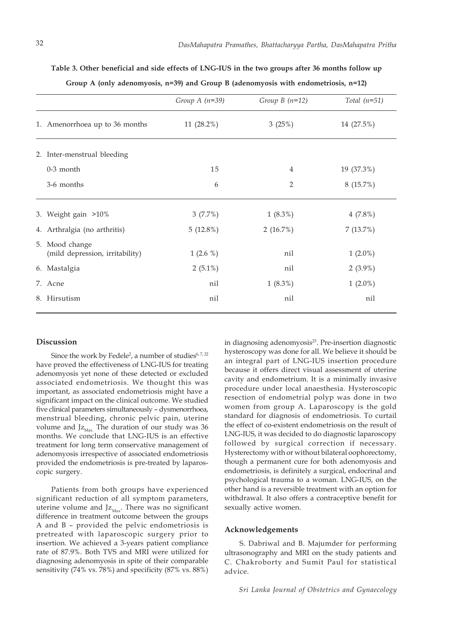|                                                   | Group $A(n=39)$ | Group $B(n=12)$ | Total $(n=51)$ |
|---------------------------------------------------|-----------------|-----------------|----------------|
| 1. Amenorrhoea up to 36 months                    | 11 (28.2%)      | 3(25%)          | 14 (27.5%)     |
| 2. Inter-menstrual bleeding                       |                 |                 |                |
| $0-3$ month                                       | 15              | 4               | 19 (37.3%)     |
| 3-6 months                                        | 6               | 2               | 8(15.7%)       |
| 3. Weight gain >10%                               | 3(7.7%)         | $1(8.3\%)$      | $4(7.8\%)$     |
| 4. Arthralgia (no arthritis)                      | 5(12.8%)        | 2 $(16.7%)$     | 7(13.7%)       |
| 5. Mood change<br>(mild depression, irritability) | $1(2.6\%)$      | nil             | $1(2.0\%)$     |
| 6. Mastalgia                                      | $2(5.1\%)$      | nil             | $2(3.9\%)$     |
| 7. Acne                                           | nil             | $1(8.3\%)$      | $1(2.0\%)$     |
| 8. Hirsutism                                      | nil             | nil             | nil            |

**Table 3. Other beneficial and side effects of LNG-IUS in the two groups after 36 months follow up Group A (only adenomyosis, n=39) and Group B (adenomyosis with endometriosis, n=12)**

# **Discussion**

Since the work by Fedele<sup>2</sup>, a number of studies $^{6,7,22}$ have proved the effectiveness of LNG-IUS for treating adenomyosis yet none of these detected or excluded associated endometriosis. We thought this was important, as associated endometriosis might have a significant impact on the clinical outcome. We studied five clinical parameters simultaneously – dysmenorrhoea, menstrual bleeding, chronic pelvic pain, uterine volume and  $Jz_{\text{Max}}$ . The duration of our study was 36 months. We conclude that LNG-IUS is an effective treatment for long term conservative management of adenomyosis irrespective of associated endometriosis provided the endometriosis is pre-treated by laparoscopic surgery.

Patients from both groups have experienced significant reduction of all symptom parameters, uterine volume and  $Jz<sub>Max</sub>$ . There was no significant difference in treatment outcome between the groups A and B – provided the pelvic endometriosis is pretreated with laparoscopic surgery prior to insertion. We achieved a 3-years patient compliance rate of 87.9%. Both TVS and MRI were utilized for diagnosing adenomyosis in spite of their comparable sensitivity (74% vs. 78%) and specificity (87% vs. 88%)

in diagnosing adenomyosis<sup>23</sup>. Pre-insertion diagnostic hysteroscopy was done for all. We believe it should be an integral part of LNG-IUS insertion procedure because it offers direct visual assessment of uterine cavity and endometrium. It is a minimally invasive procedure under local anaesthesia. Hysteroscopic resection of endometrial polyp was done in two women from group A. Laparoscopy is the gold standard for diagnosis of endometriosis. To curtail the effect of co-existent endometriosis on the result of LNG-IUS, it was decided to do diagnostic laparoscopy followed by surgical correction if necessary. Hysterectomy with or without bilateral oophorectomy, though a permanent cure for both adenomyosis and endometriosis, is definitely a surgical, endocrinal and psychological trauma to a woman. LNG-IUS, on the other hand is a reversible treatment with an option for withdrawal. It also offers a contraceptive benefit for sexually active women.

#### **Acknowledgements**

S. Dabriwal and B. Majumder for performing ultrasonography and MRI on the study patients and C. Chakroborty and Sumit Paul for statistical advice.